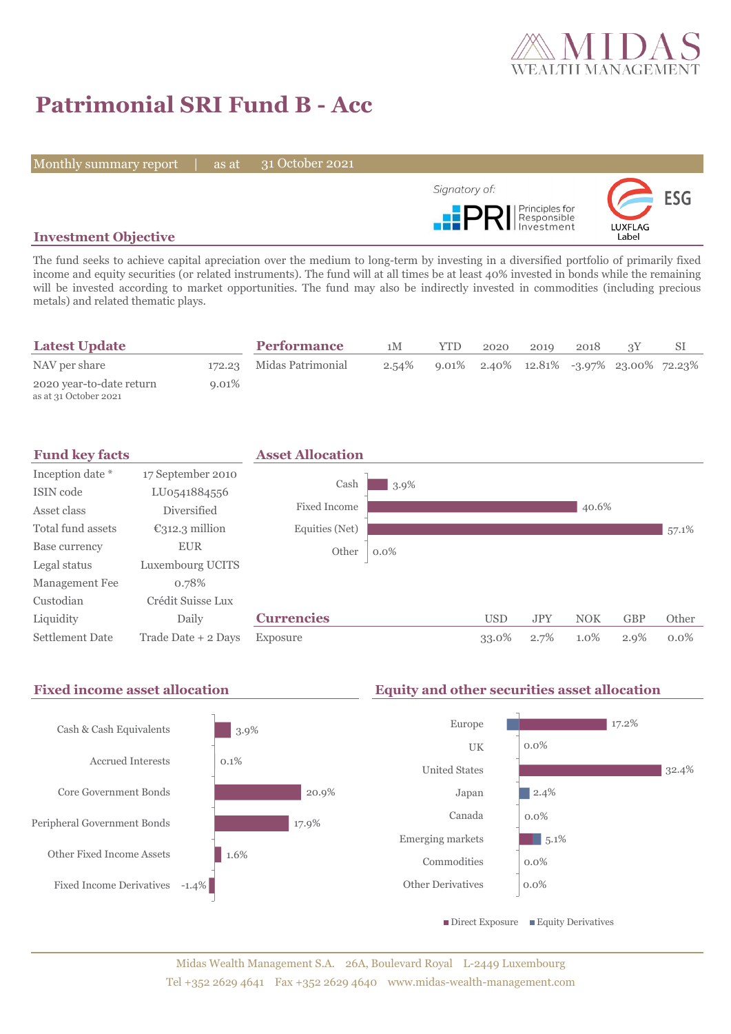

# **Patrimonial SRI Fund B - Acc**

Monthly summary report | as at

31 October 2021



# **Investment Objective**

The fund seeks to achieve capital apreciation over the medium to long-term by investing in a diversified portfolio of primarily fixed income and equity securities (or related instruments). The fund will at all times be at least 40% invested in bonds while the remaining will be invested according to market opportunities. The fund may also be indirectly invested in commodities (including precious metals) and related thematic plays.

| <b>Latest Update</b>                              |          | <b>Performance</b>       | 1M    | <b>YTD</b>                                 | 2020 | 2019 | 2018 |  |
|---------------------------------------------------|----------|--------------------------|-------|--------------------------------------------|------|------|------|--|
| NAV per share                                     |          | 172.23 Midas Patrimonial | 2.54% | $9.01\%$ 2.40% 12.81% -3.97% 23.00% 72.23% |      |      |      |  |
| 2020 year-to-date return<br>as at 31 October 2021 | $9.01\%$ |                          |       |                                            |      |      |      |  |



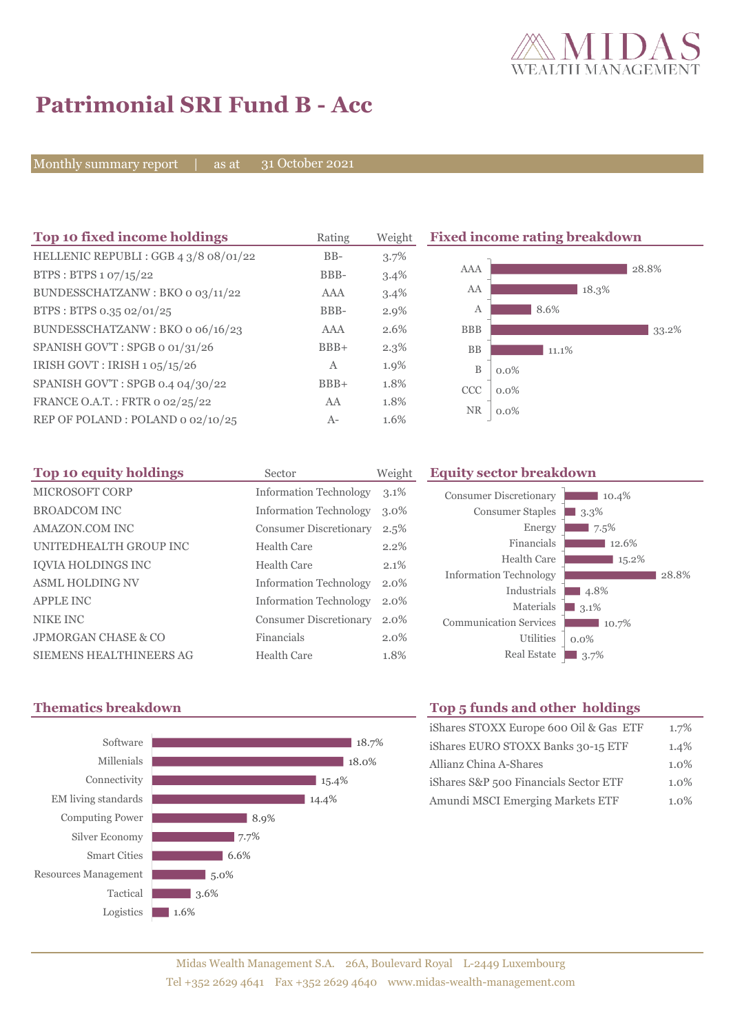

# **Patrimonial SRI Fund B - Acc**

Monthly summary report | as at

31 October 2021

| Top 10 fixed income holdings          | Rating       | Weight  | <b>Fixed income rating breakdown</b> |         |  |
|---------------------------------------|--------------|---------|--------------------------------------|---------|--|
| HELLENIC REPUBLI : GGB 4 3/8 08/01/22 | $BB-$        | 3.7%    |                                      |         |  |
| BTPS: BTPS $1.07/15/22$               | BBB-         | 3.4%    | AAA                                  | 28.8%   |  |
| BUNDESSCHATZANW: BKO o 03/11/22       | AAA          | 3.4%    | AA                                   | 18.3%   |  |
| BTPS: BTPS 0.35 02/01/25              | BBB-         | $2.9\%$ | Α                                    | 8.6%    |  |
| BUNDESSCHATZANW: BKO o 06/16/23       | AAA          | 2.6%    | <b>BBB</b>                           | 33.2%   |  |
| SPANISH GOV'T: SPGB o 01/31/26        | $BBB+$       | $2.3\%$ | <b>BB</b>                            | 11.1%   |  |
| IRISH GOVT: IRISH 1 05/15/26          | $\mathbf{A}$ | 1.9%    | $\, {\bf B}$                         | $0.0\%$ |  |
| SPANISH GOV'T: SPGB 0.4 04/30/22      | $BBB+$       | 1.8%    | <b>CCC</b>                           | $0.0\%$ |  |
| FRANCE O.A.T.: FRTR 0 02/25/22        | AA           | 1.8%    | <b>NR</b>                            |         |  |
| REP OF POLAND: POLAND 0 02/10/25      | $A-$         | 1.6%    |                                      | $0.0\%$ |  |

| Top 10 equity holdings    | Sector                        | Weight  |
|---------------------------|-------------------------------|---------|
| MICROSOFT CORP            | <b>Information Technology</b> | $3.1\%$ |
| <b>BROADCOM INC</b>       | <b>Information Technology</b> | $3.0\%$ |
| AMAZON.COM INC            | <b>Consumer Discretionary</b> | 2.5%    |
| UNITEDHEALTH GROUP INC    | Health Care                   | 2.2%    |
| <b>IOVIA HOLDINGS INC</b> | Health Care                   | 2.1%    |
| <b>ASML HOLDING NV</b>    | <b>Information Technology</b> | $2.0\%$ |
| <b>APPLE INC</b>          | <b>Information Technology</b> | 2.0%    |
| NIKE INC                  | <b>Consumer Discretionary</b> | $2.0\%$ |
| JPMORGAN CHASE & CO       | Financials                    | $2.0\%$ |
| SIEMENS HEALTHINEERS AG   | Health Care                   | 1.8%    |

## **Equity sector breakdown**





# **Thematics breakdown Top 5 funds and other holdings**

| iShares STOXX Europe 600 Oil & Gas ETF | 1.7%    |
|----------------------------------------|---------|
| iShares EURO STOXX Banks 30-15 ETF     | 1.4%    |
| Allianz China A-Shares                 | 1.0%    |
| iShares S&P 500 Financials Sector ETF  | $1.0\%$ |
| Amundi MSCI Emerging Markets ETF       | $1.0\%$ |